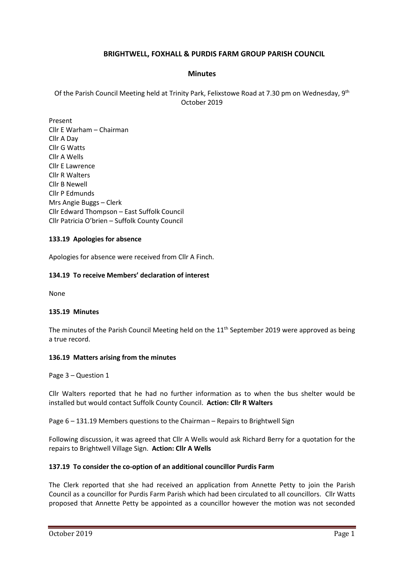# **BRIGHTWELL, FOXHALL & PURDIS FARM GROUP PARISH COUNCIL**

### **Minutes**

Of the Parish Council Meeting held at Trinity Park, Felixstowe Road at 7.30 pm on Wednesday, 9th October 2019

Present Cllr E Warham – Chairman Cllr A Day Cllr G Watts Cllr A Wells Cllr E Lawrence Cllr R Walters Cllr B Newell Cllr P Edmunds Mrs Angie Buggs – Clerk Cllr Edward Thompson – East Suffolk Council Cllr Patricia O'brien – Suffolk County Council

### **133.19 Apologies for absence**

Apologies for absence were received from Cllr A Finch.

## **134.19 To receive Members' declaration of interest**

None

### **135.19 Minutes**

The minutes of the Parish Council Meeting held on the  $11<sup>th</sup>$  September 2019 were approved as being a true record.

### **136.19 Matters arising from the minutes**

Page 3 – Question 1

Cllr Walters reported that he had no further information as to when the bus shelter would be installed but would contact Suffolk County Council. **Action: Cllr R Walters**

Page 6 – 131.19 Members questions to the Chairman – Repairs to Brightwell Sign

Following discussion, it was agreed that Cllr A Wells would ask Richard Berry for a quotation for the repairs to Brightwell Village Sign. **Action: Cllr A Wells**

### **137.19 To consider the co-option of an additional councillor Purdis Farm**

The Clerk reported that she had received an application from Annette Petty to join the Parish Council as a councillor for Purdis Farm Parish which had been circulated to all councillors. Cllr Watts proposed that Annette Petty be appointed as a councillor however the motion was not seconded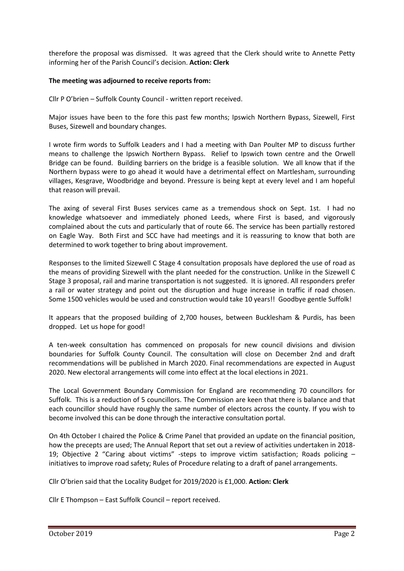therefore the proposal was dismissed. It was agreed that the Clerk should write to Annette Petty informing her of the Parish Council's decision. **Action: Clerk**

## **The meeting was adjourned to receive reports from:**

Cllr P O'brien – Suffolk County Council - written report received.

Major issues have been to the fore this past few months; Ipswich Northern Bypass, Sizewell, First Buses, Sizewell and boundary changes.

I wrote firm words to Suffolk Leaders and I had a meeting with Dan Poulter MP to discuss further means to challenge the Ipswich Northern Bypass. Relief to Ipswich town centre and the Orwell Bridge can be found. Building barriers on the bridge is a feasible solution. We all know that if the Northern bypass were to go ahead it would have a detrimental effect on Martlesham, surrounding villages, Kesgrave, Woodbridge and beyond. Pressure is being kept at every level and I am hopeful that reason will prevail.

The axing of several First Buses services came as a tremendous shock on Sept. 1st. I had no knowledge whatsoever and immediately phoned Leeds, where First is based, and vigorously complained about the cuts and particularly that of route 66. The service has been partially restored on Eagle Way. Both First and SCC have had meetings and it is reassuring to know that both are determined to work together to bring about improvement.

Responses to the limited Sizewell C Stage 4 consultation proposals have deplored the use of road as the means of providing Sizewell with the plant needed for the construction. Unlike in the Sizewell C Stage 3 proposal, rail and marine transportation is not suggested. It is ignored. All responders prefer a rail or water strategy and point out the disruption and huge increase in traffic if road chosen. Some 1500 vehicles would be used and construction would take 10 years!! Goodbye gentle Suffolk!

It appears that the proposed building of 2,700 houses, between Bucklesham & Purdis, has been dropped. Let us hope for good!

A ten-week consultation has commenced on proposals for new council divisions and division boundaries for Suffolk County Council. The consultation will close on December 2nd and draft recommendations will be published in March 2020. Final recommendations are expected in August 2020. New electoral arrangements will come into effect at the local elections in 2021.

The Local Government Boundary Commission for England are recommending 70 councillors for Suffolk. This is a reduction of 5 councillors. The Commission are keen that there is balance and that each councillor should have roughly the same number of electors across the county. If you wish to become involved this can be done through the interactive consultation portal.

On 4th October I chaired the Police & Crime Panel that provided an update on the financial position, how the precepts are used; The Annual Report that set out a review of activities undertaken in 2018- 19; Objective 2 "Caring about victims" -steps to improve victim satisfaction; Roads policing – initiatives to improve road safety; Rules of Procedure relating to a draft of panel arrangements.

Cllr O'brien said that the Locality Budget for 2019/2020 is £1,000. **Action: Clerk**

Cllr E Thompson – East Suffolk Council – report received.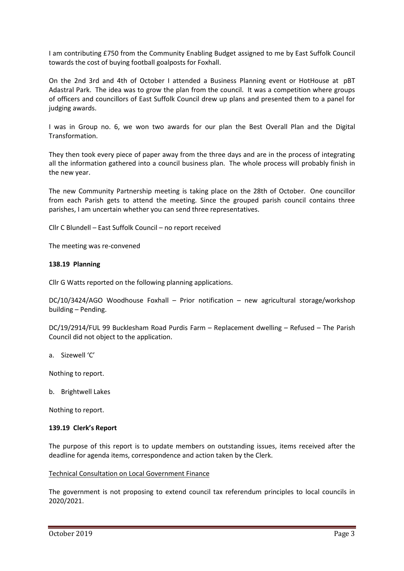I am contributing £750 from the Community Enabling Budget assigned to me by East Suffolk Council towards the cost of buying football goalposts for Foxhall.

On the 2nd 3rd and 4th of October I attended a Business Planning event or HotHouse at pBT Adastral Park. The idea was to grow the plan from the council. It was a competition where groups of officers and councillors of East Suffolk Council drew up plans and presented them to a panel for judging awards.

I was in Group no. 6, we won two awards for our plan the Best Overall Plan and the Digital Transformation.

They then took every piece of paper away from the three days and are in the process of integrating all the information gathered into a council business plan. The whole process will probably finish in the new year.

The new Community Partnership meeting is taking place on the 28th of October. One councillor from each Parish gets to attend the meeting. Since the grouped parish council contains three parishes, I am uncertain whether you can send three representatives.

Cllr C Blundell – East Suffolk Council – no report received

The meeting was re-convened

#### **138.19 Planning**

Cllr G Watts reported on the following planning applications.

DC/10/3424/AGO Woodhouse Foxhall – Prior notification – new agricultural storage/workshop building – Pending.

DC/19/2914/FUL 99 Bucklesham Road Purdis Farm – Replacement dwelling – Refused – The Parish Council did not object to the application.

a. Sizewell 'C'

Nothing to report.

b. Brightwell Lakes

Nothing to report.

#### **139.19 Clerk's Report**

The purpose of this report is to update members on outstanding issues, items received after the deadline for agenda items, correspondence and action taken by the Clerk.

#### Technical Consultation on Local Government Finance

The government is not proposing to extend council tax referendum principles to local councils in 2020/2021.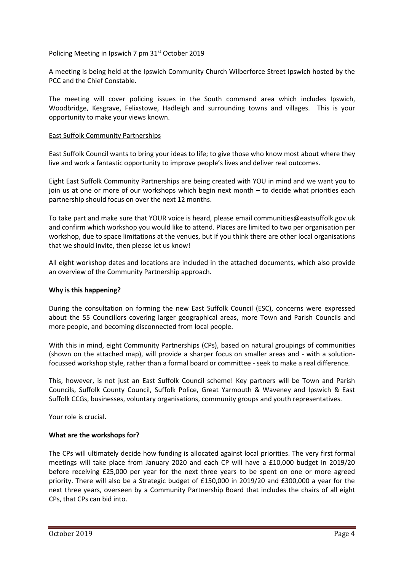## Policing Meeting in Ipswich 7 pm 31<sup>st</sup> October 2019

A meeting is being held at the Ipswich Community Church Wilberforce Street Ipswich hosted by the PCC and the Chief Constable.

The meeting will cover policing issues in the South command area which includes Ipswich, Woodbridge, Kesgrave, Felixstowe, Hadleigh and surrounding towns and villages. This is your opportunity to make your views known.

## East Suffolk Community Partnerships

East Suffolk Council wants to bring your ideas to life; to give those who know most about where they live and work a fantastic opportunity to improve people's lives and deliver real outcomes.

Eight East Suffolk Community Partnerships are being created with YOU in mind and we want you to join us at one or more of our workshops which begin next month – to decide what priorities each partnership should focus on over the next 12 months.

To take part and make sure that YOUR voice is heard, please email [communities@eastsuffolk.gov.uk](mailto:communities@eastsuffolk.gov.uk) and confirm which workshop you would like to attend. Places are limited to two per organisation per workshop, due to space limitations at the venues, but if you think there are other local organisations that we should invite, then please let us know!

All eight workshop dates and locations are included in the attached documents, which also provide an overview of the Community Partnership approach.

### **Why is this happening?**

During the consultation on forming the new East Suffolk Council (ESC), concerns were expressed about the 55 Councillors covering larger geographical areas, more Town and Parish Councils and more people, and becoming disconnected from local people.

With this in mind, eight Community Partnerships (CPs), based on natural groupings of communities (shown on the attached map), will provide a sharper focus on smaller areas and - with a solutionfocussed workshop style, rather than a formal board or committee - seek to make a real difference.

This, however, is not just an East Suffolk Council scheme! Key partners will be Town and Parish Councils, Suffolk County Council, Suffolk Police, Great Yarmouth & Waveney and Ipswich & East Suffolk CCGs, businesses, voluntary organisations, community groups and youth representatives.

Your role is crucial.

### **What are the workshops for?**

The CPs will ultimately decide how funding is allocated against local priorities. The very first formal meetings will take place from January 2020 and each CP will have a £10,000 budget in 2019/20 before receiving £25,000 per year for the next three years to be spent on one or more agreed priority. There will also be a Strategic budget of £150,000 in 2019/20 and £300,000 a year for the next three years, overseen by a Community Partnership Board that includes the chairs of all eight CPs, that CPs can bid into.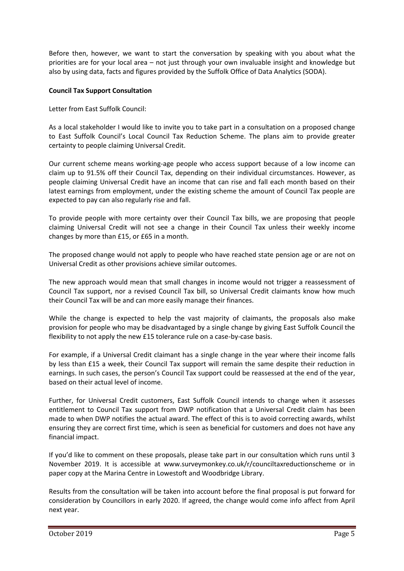Before then, however, we want to start the conversation by speaking with you about what the priorities are for your local area – not just through your own invaluable insight and knowledge but also by using data, facts and figures provided by the Suffolk Office of Data Analytics (SODA).

## **Council Tax Support Consultation**

Letter from East Suffolk Council:

As a local stakeholder I would like to invite you to take part in a consultation on a proposed change to East Suffolk Council's Local Council Tax Reduction Scheme. The plans aim to provide greater certainty to people claiming Universal Credit.

Our current scheme means working-age people who access support because of a low income can claim up to 91.5% off their Council Tax, depending on their individual circumstances. However, as people claiming Universal Credit have an income that can rise and fall each month based on their latest earnings from employment, under the existing scheme the amount of Council Tax people are expected to pay can also regularly rise and fall.

To provide people with more certainty over their Council Tax bills, we are proposing that people claiming Universal Credit will not see a change in their Council Tax unless their weekly income changes by more than £15, or £65 in a month.

The proposed change would not apply to people who have reached state pension age or are not on Universal Credit as other provisions achieve similar outcomes.

The new approach would mean that small changes in income would not trigger a reassessment of Council Tax support, nor a revised Council Tax bill, so Universal Credit claimants know how much their Council Tax will be and can more easily manage their finances.

While the change is expected to help the vast majority of claimants, the proposals also make provision for people who may be disadvantaged by a single change by giving East Suffolk Council the flexibility to not apply the new £15 tolerance rule on a case-by-case basis.

For example, if a Universal Credit claimant has a single change in the year where their income falls by less than £15 a week, their Council Tax support will remain the same despite their reduction in earnings. In such cases, the person's Council Tax support could be reassessed at the end of the year, based on their actual level of income.

Further, for Universal Credit customers, East Suffolk Council intends to change when it assesses entitlement to Council Tax support from DWP notification that a Universal Credit claim has been made to when DWP notifies the actual award. The effect of this is to avoid correcting awards, whilst ensuring they are correct first time, which is seen as beneficial for customers and does not have any financial impact.

If you'd like to comment on these proposals, please take part in our consultation which runs until 3 November 2019. It is accessible at www.surveymonkey.co.uk/r/counciltaxreductionscheme or in paper copy at the Marina Centre in Lowestoft and Woodbridge Library.

Results from the consultation will be taken into account before the final proposal is put forward for consideration by Councillors in early 2020. If agreed, the change would come info affect from April next year.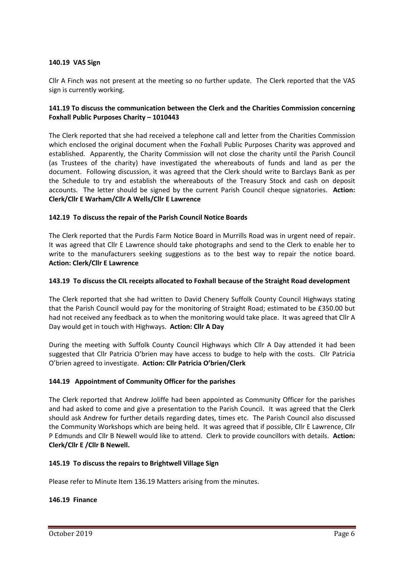## **140.19 VAS Sign**

Cllr A Finch was not present at the meeting so no further update. The Clerk reported that the VAS sign is currently working.

## **141.19 To discuss the communication between the Clerk and the Charities Commission concerning Foxhall Public Purposes Charity – 1010443**

The Clerk reported that she had received a telephone call and letter from the Charities Commission which enclosed the original document when the Foxhall Public Purposes Charity was approved and established. Apparently, the Charity Commission will not close the charity until the Parish Council (as Trustees of the charity) have investigated the whereabouts of funds and land as per the document. Following discussion, it was agreed that the Clerk should write to Barclays Bank as per the Schedule to try and establish the whereabouts of the Treasury Stock and cash on deposit accounts. The letter should be signed by the current Parish Council cheque signatories. **Action: Clerk/Cllr E Warham/Cllr A Wells/Cllr E Lawrence**

## **142.19 To discuss the repair of the Parish Council Notice Boards**

The Clerk reported that the Purdis Farm Notice Board in Murrills Road was in urgent need of repair. It was agreed that Cllr E Lawrence should take photographs and send to the Clerk to enable her to write to the manufacturers seeking suggestions as to the best way to repair the notice board. **Action: Clerk/Cllr E Lawrence**

### **143.19 To discuss the CIL receipts allocated to Foxhall because of the Straight Road development**

The Clerk reported that she had written to David Chenery Suffolk County Council Highways stating that the Parish Council would pay for the monitoring of Straight Road; estimated to be £350.00 but had not received any feedback as to when the monitoring would take place. It was agreed that Cllr A Day would get in touch with Highways. **Action: Cllr A Day**

During the meeting with Suffolk County Council Highways which Cllr A Day attended it had been suggested that Cllr Patricia O'brien may have access to budge to help with the costs. Cllr Patricia O'brien agreed to investigate. **Action: Cllr Patricia O'brien/Clerk**

### **144.19 Appointment of Community Officer for the parishes**

The Clerk reported that Andrew Joliffe had been appointed as Community Officer for the parishes and had asked to come and give a presentation to the Parish Council. It was agreed that the Clerk should ask Andrew for further details regarding dates, times etc. The Parish Council also discussed the Community Workshops which are being held. It was agreed that if possible, Cllr E Lawrence, Cllr P Edmunds and Cllr B Newell would like to attend. Clerk to provide councillors with details. **Action: Clerk/Cllr E /Cllr B Newell.**

### **145.19 To discuss the repairs to Brightwell Village Sign**

Please refer to Minute Item 136.19 Matters arising from the minutes.

### **146.19 Finance**